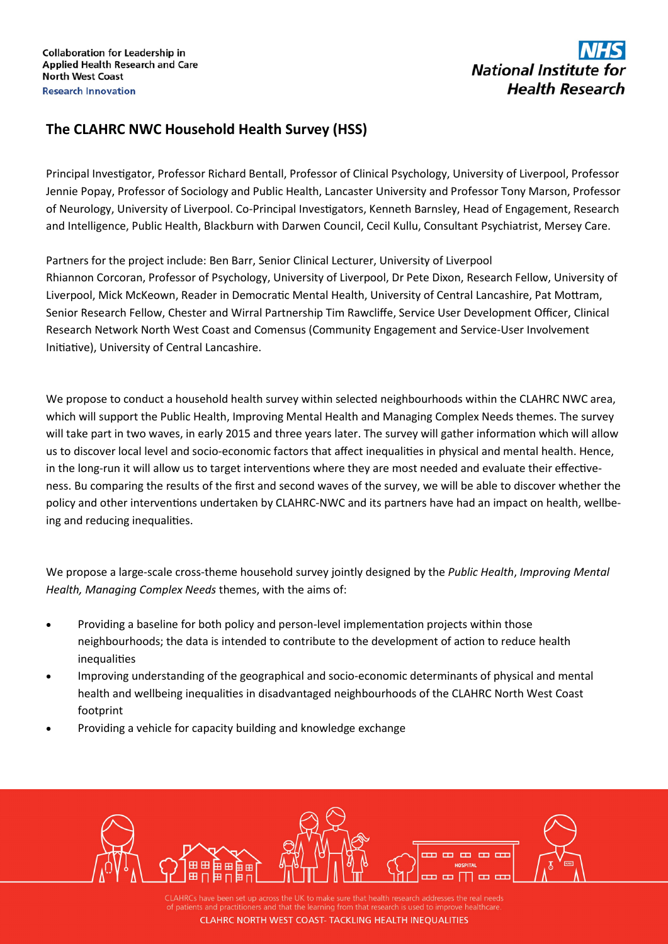## National Institute for **Health Research**

## **The CLAHRC NWC Household Health Survey (HSS)**

Principal Investigator, Professor Richard Bentall, Professor of Clinical Psychology, University of Liverpool, Professor Jennie Popay, Professor of Sociology and Public Health, Lancaster University and Professor Tony Marson, Professor of Neurology, University of Liverpool. Co-Principal Investigators, Kenneth Barnsley, Head of Engagement, Research and Intelligence, Public Health, Blackburn with Darwen Council, Cecil Kullu, Consultant Psychiatrist, Mersey Care.

Partners for the project include: Ben Barr, Senior Clinical Lecturer, University of Liverpool Rhiannon Corcoran, Professor of Psychology, University of Liverpool, Dr Pete Dixon, Research Fellow, University of Liverpool, Mick McKeown, Reader in Democratic Mental Health, University of Central Lancashire, Pat Mottram, Senior Research Fellow, Chester and Wirral Partnership Tim Rawcliffe, Service User Development Officer, Clinical Research Network North West Coast and Comensus (Community Engagement and Service-User Involvement Initiative), University of Central Lancashire.

We propose to conduct a household health survey within selected neighbourhoods within the CLAHRC NWC area, which will support the Public Health, Improving Mental Health and Managing Complex Needs themes. The survey will take part in two waves, in early 2015 and three years later. The survey will gather information which will allow us to discover local level and socio-economic factors that affect inequalities in physical and mental health. Hence, in the long-run it will allow us to target interventions where they are most needed and evaluate their effectiveness. Bu comparing the results of the first and second waves of the survey, we will be able to discover whether the policy and other interventions undertaken by CLAHRC-NWC and its partners have had an impact on health, wellbeing and reducing inequalities.

We propose a large-scale cross-theme household survey jointly designed by the *Public Health*, *Improving Mental Health, Managing Complex Needs* themes, with the aims of:

- Providing a baseline for both policy and person-level implementation projects within those neighbourhoods; the data is intended to contribute to the development of action to reduce health inequalities
- Improving understanding of the geographical and socio-economic determinants of physical and mental health and wellbeing inequalities in disadvantaged neighbourhoods of the CLAHRC North West Coast footprint
- Providing a vehicle for capacity building and knowledge exchange



CLAHRCs have been set up across the UK to make sure that health research addresses the real needs **CLAHRC NORTH WEST COAST- TACKLING HEALTH INEOUALITIES**